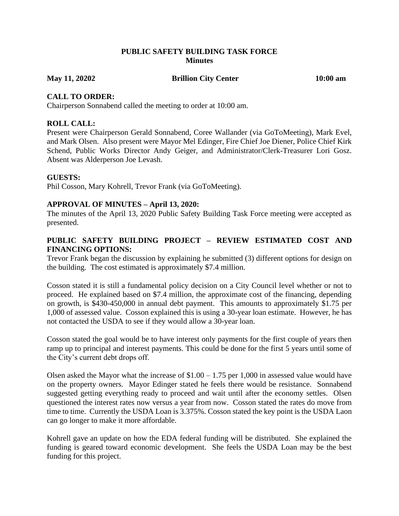## **PUBLIC SAFETY BUILDING TASK FORCE Minutes**

**May 11, 20202 Brillion City Center 10:00 am**

## **CALL TO ORDER:**

Chairperson Sonnabend called the meeting to order at 10:00 am.

## **ROLL CALL:**

Present were Chairperson Gerald Sonnabend, Coree Wallander (via GoToMeeting), Mark Evel, and Mark Olsen. Also present were Mayor Mel Edinger, Fire Chief Joe Diener, Police Chief Kirk Schend, Public Works Director Andy Geiger, and Administrator/Clerk-Treasurer Lori Gosz. Absent was Alderperson Joe Levash.

## **GUESTS:**

Phil Cosson, Mary Kohrell, Trevor Frank (via GoToMeeting).

## **APPROVAL OF MINUTES – April 13, 2020:**

The minutes of the April 13, 2020 Public Safety Building Task Force meeting were accepted as presented.

# **PUBLIC SAFETY BUILDING PROJECT – REVIEW ESTIMATED COST AND FINANCING OPTIONS:**

Trevor Frank began the discussion by explaining he submitted (3) different options for design on the building. The cost estimated is approximately \$7.4 million.

Cosson stated it is still a fundamental policy decision on a City Council level whether or not to proceed. He explained based on \$7.4 million, the approximate cost of the financing, depending on growth, is \$430-450,000 in annual debt payment. This amounts to approximately \$1.75 per 1,000 of assessed value. Cosson explained this is using a 30-year loan estimate. However, he has not contacted the USDA to see if they would allow a 30-year loan.

Cosson stated the goal would be to have interest only payments for the first couple of years then ramp up to principal and interest payments. This could be done for the first 5 years until some of the City's current debt drops off.

Olsen asked the Mayor what the increase of  $$1.00 - 1.75$  per 1,000 in assessed value would have on the property owners. Mayor Edinger stated he feels there would be resistance. Sonnabend suggested getting everything ready to proceed and wait until after the economy settles. Olsen questioned the interest rates now versus a year from now. Cosson stated the rates do move from time to time. Currently the USDA Loan is 3.375%. Cosson stated the key point is the USDA Laon can go longer to make it more affordable.

Kohrell gave an update on how the EDA federal funding will be distributed. She explained the funding is geared toward economic development. She feels the USDA Loan may be the best funding for this project.